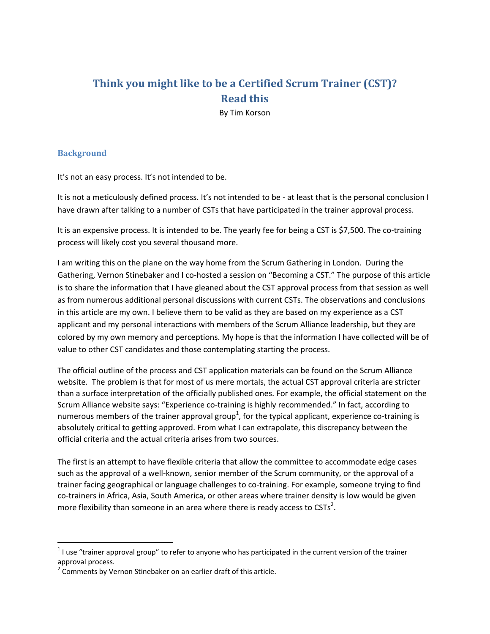# **Think you might like to be a Certified Scrum Trainer (CST)? Read this**

By Tim Korson

### **Background**

It's not an easy process. It's not intended to be.

It is not a meticulously defined process. It's not intended to be ‐ at least that is the personal conclusion I have drawn after talking to a number of CSTs that have participated in the trainer approval process.

It is an expensive process. It is intended to be. The yearly fee for being a CST is \$7,500. The co-training process will likely cost you several thousand more.

I am writing this on the plane on the way home from the Scrum Gathering in London. During the Gathering, Vernon Stinebaker and I co-hosted a session on "Becoming a CST." The purpose of this article is to share the information that I have gleaned about the CST approval process from that session as well as from numerous additional personal discussions with current CSTs. The observations and conclusions in this article are my own. I believe them to be valid as they are based on my experience as a CST applicant and my personal interactions with members of the Scrum Alliance leadership, but they are colored by my own memory and perceptions. My hope is that the information I have collected will be of value to other CST candidates and those contemplating starting the process.

The official outline of the process and CST application materials can be found on the Scrum Alliance website. The problem is that for most of us mere mortals, the actual CST approval criteria are stricter than a surface interpretation of the officially published ones. For example, the official statement on the Scrum Alliance website says: "Experience co-training is highly recommended." In fact, according to numerous members of the trainer approval group<sup>1</sup>, for the typical applicant, experience co-training is absolutely critical to getting approved. From what I can extrapolate, this discrepancy between the official criteria and the actual criteria arises from two sources.

The first is an attempt to have flexible criteria that allow the committee to accommodate edge cases such as the approval of a well‐known, senior member of the Scrum community, or the approval of a trainer facing geographical or language challenges to co-training. For example, someone trying to find co-trainers in Africa, Asia, South America, or other areas where trainer density is low would be given more flexibility than someone in an area where there is ready access to CSTs<sup>2</sup>.

 $1$  I use "trainer approval group" to refer to anyone who has participated in the current version of the trainer approval process.<br><sup>2</sup> Comments by Vernon Stinebaker on an earlier draft of this article.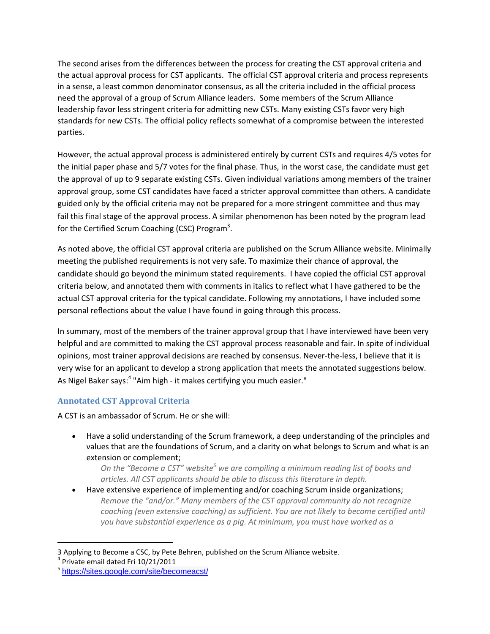The second arises from the differences between the process for creating the CST approval criteria and the actual approval process for CST applicants. The official CST approval criteria and process represents in a sense, a least common denominator consensus, as all the criteria included in the official process need the approval of a group of Scrum Alliance leaders. Some members of the Scrum Alliance leadership favor less stringent criteria for admitting new CSTs. Many existing CSTs favor very high standards for new CSTs. The official policy reflects somewhat of a compromise between the interested parties.

However, the actual approval process is administered entirely by current CSTs and requires 4/5 votes for the initial paper phase and 5/7 votes for the final phase. Thus, in the worst case, the candidate must get the approval of up to 9 separate existing CSTs. Given individual variations among members of the trainer approval group, some CST candidates have faced a stricter approval committee than others. A candidate guided only by the official criteria may not be prepared for a more stringent committee and thus may fail this final stage of the approval process. A similar phenomenon has been noted by the program lead for the Certified Scrum Coaching (CSC) Program<sup>3</sup>.

As noted above, the official CST approval criteria are published on the Scrum Alliance website. Minimally meeting the published requirements is not very safe. To maximize their chance of approval, the candidate should go beyond the minimum stated requirements. I have copied the official CST approval criteria below, and annotated them with comments in italics to reflect what I have gathered to be the actual CST approval criteria for the typical candidate. Following my annotations, I have included some personal reflections about the value I have found in going through this process.

In summary, most of the members of the trainer approval group that I have interviewed have been very helpful and are committed to making the CST approval process reasonable and fair. In spite of individual opinions, most trainer approval decisions are reached by consensus. Never-the-less, I believe that it is very wise for an applicant to develop a strong application that meets the annotated suggestions below. As Nigel Baker says:<sup>4</sup> "Aim high - it makes certifying you much easier."

## **Annotated CST Approval Criteria**

A CST is an ambassador of Scrum. He or she will:

 Have a solid understanding of the Scrum framework, a deep understanding of the principles and values that are the foundations of Scrum, and a clarity on what belongs to Scrum and what is an extension or complement;

*On the "Become a CST" website<sup>5</sup> we are compiling a minimum reading list of books and articles. All CST applicants should be able to discuss this literature in depth.*

 Have extensive experience of implementing and/or coaching Scrum inside organizations; *Remove the "and/or." Many members of the CST approval community do not recognize coaching (even extensive coaching) as sufficient. You are not likely to become certified until you have substantial experience as a pig. At minimum, you must have worked as a*

<sup>3</sup> Applying to Become a CSC, by Pete Behren, published on the Scrum Alliance website.<br><sup>4</sup> Private email dated Fri 10/21/2011<br><sup>5</sup> https://sites.google.com/site/becomeacst/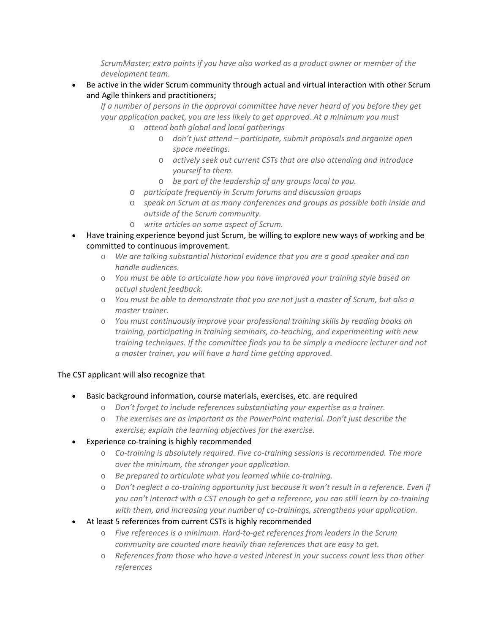*ScrumMaster; extra points if you have also worked as a product owner or member of the development team.*

 Be active in the wider Scrum community through actual and virtual interaction with other Scrum and Agile thinkers and practitioners;

*If a number of persons in the approval committee have never heard of you before they get your application packet, you are less likely to get approved. At a minimum you must*

- o *attend both global and local gatherings*
	- o *don't just attend – participate, submit proposals and organize open space meetings.*
	- o *actively seek out current CSTs that are also attending and introduce yourself to them.*
	- o *be part of the leadership of any groups local to you.*
- o *participate frequently in Scrum forums and discussion groups*
- o *speak on Scrum at as many conferences and groups as possible both inside and outside of the Scrum community.*
- o *write articles on some aspect of Scrum.*
- Have training experience beyond just Scrum, be willing to explore new ways of working and be committed to continuous improvement.
	- o *We are talking substantial historical evidence that you are a good speaker and can handle audiences.*
	- o *You must be able to articulate how you have improved your training style based on actual student feedback.*
	- o *You must be able to demonstrate that you are not just a master of Scrum, but also a master trainer.*
	- o *You must continuously improve your professional training skills by reading books on training, participating in training seminars, co‐teaching, and experimenting with new training techniques. If the committee finds you to be simply a mediocre lecturer and not a master trainer, you will have a hard time getting approved.*

#### The CST applicant will also recognize that

- Basic background information, course materials, exercises, etc. are required
	- o *Don't forget to include references substantiating your expertise as a trainer.*
	- o *The exercises are as important as the PowerPoint material. Don't just describe the exercise; explain the learning objectives for the exercise.*
- Experience co-training is highly recommended
	- o *Co‐training is absolutely required. Five co‐training sessions is recommended. The more over the minimum, the stronger your application.*
	- o *Be prepared to articulate what you learned while co‐training.*
	- o *Don't neglect a co‐training opportunity just because it won't result in a reference. Even if you can't interact with a CST enough to get a reference, you can still learn by co‐training with them, and increasing your number of co‐trainings, strengthens your application.*
- At least 5 references from current CSTs is highly recommended
	- o *Five references is a minimum. Hard‐to‐get references from leaders in the Scrum community are counted more heavily than references that are easy to get.*
	- o *References from those who have a vested interest in your success count less than other references*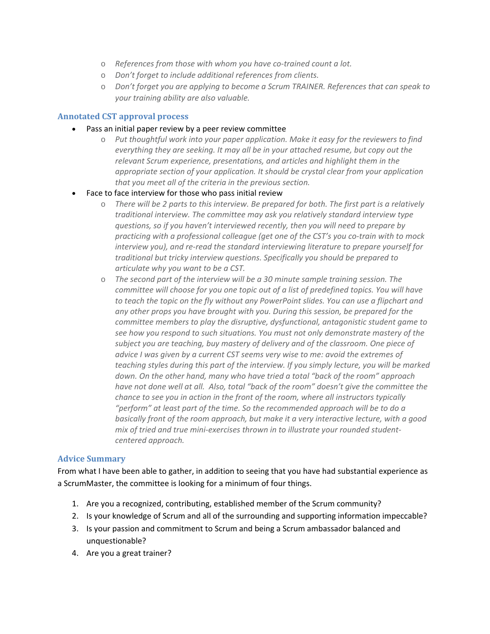- o *References from those with whom you have co‐trained count a lot.*
- o *Don't forget to include additional references from clients.*
- o *Don't forget you are applying to become a Scrum TRAINER. References that can speak to your training ability are also valuable.*

#### **Annotated CST approval process**

- Pass an initial paper review by a peer review committee
	- o *Put thoughtful work into your paper application. Make it easy for the reviewers to find everything they are seeking. It may all be in your attached resume, but copy out the relevant Scrum experience, presentations, and articles and highlight them in the appropriate section of your application. It should be crystal clear from your application that you meet all of the criteria in the previous section.*
- Face to face interview for those who pass initial review
	- o *There will be 2 parts to this interview. Be prepared for both. The first part is a relatively traditional interview. The committee may ask you relatively standard interview type questions, so if you haven't interviewed recently, then you will need to prepare by practicing with a professional colleague (get one of the CST's you co‐train with to mock interview you), and re‐read the standard interviewing literature to prepare yourself for traditional but tricky interview questions. Specifically you should be prepared to articulate why you want to be a CST.*
	- o *The second part of the interview will be a 30 minute sample training session. The committee will choose for you one topic out of a list of predefined topics. You will have to teach the topic on the fly without any PowerPoint slides. You can use a flipchart and any other props you have brought with you. During this session, be prepared for the committee members to play the disruptive, dysfunctional, antagonistic student game to see how you respond to such situations. You must not only demonstrate mastery of the subject you are teaching, buy mastery of delivery and of the classroom. One piece of advice I was given by a current CST seems very wise to me: avoid the extremes of teaching styles during this part of the interview. If you simply lecture, you will be marked down. On the other hand, many who have tried a total "back of the room" approach have not done well at all. Also, total "back of the room" doesn't give the committee the chance to see you in action in the front of the room, where all instructors typically "perform" at least part of the time. So the recommended approach will be to do a basically front of the room approach, but make it a very interactive lecture, with a good mix of tried and true mini‐exercises thrown in to illustrate your rounded student‐ centered approach.*

#### **Advice Summary**

From what I have been able to gather, in addition to seeing that you have had substantial experience as a ScrumMaster, the committee is looking for a minimum of four things.

- 1. Are you a recognized, contributing, established member of the Scrum community?
- 2. Is your knowledge of Scrum and all of the surrounding and supporting information impeccable?
- 3. Is your passion and commitment to Scrum and being a Scrum ambassador balanced and unquestionable?
- 4. Are you a great trainer?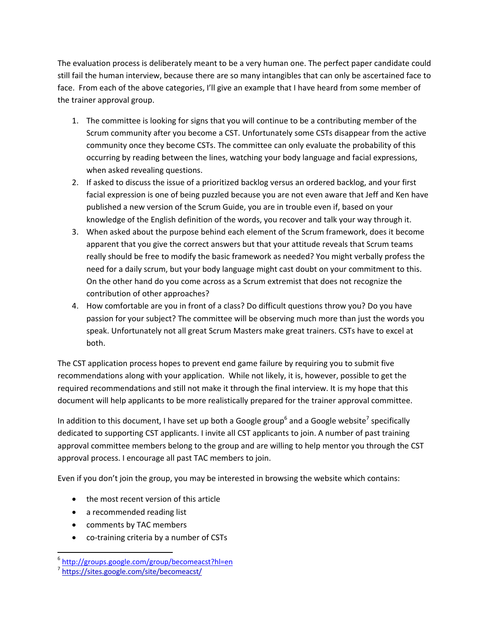The evaluation process is deliberately meant to be a very human one. The perfect paper candidate could still fail the human interview, because there are so many intangibles that can only be ascertained face to face. From each of the above categories, I'll give an example that I have heard from some member of the trainer approval group.

- 1. The committee is looking for signs that you will continue to be a contributing member of the Scrum community after you become a CST. Unfortunately some CSTs disappear from the active community once they become CSTs. The committee can only evaluate the probability of this occurring by reading between the lines, watching your body language and facial expressions, when asked revealing questions.
- 2. If asked to discuss the issue of a prioritized backlog versus an ordered backlog, and your first facial expression is one of being puzzled because you are not even aware that Jeff and Ken have published a new version of the Scrum Guide, you are in trouble even if, based on your knowledge of the English definition of the words, you recover and talk your way through it.
- 3. When asked about the purpose behind each element of the Scrum framework, does it become apparent that you give the correct answers but that your attitude reveals that Scrum teams really should be free to modify the basic framework as needed? You might verbally profess the need for a daily scrum, but your body language might cast doubt on your commitment to this. On the other hand do you come across as a Scrum extremist that does not recognize the contribution of other approaches?
- 4. How comfortable are you in front of a class? Do difficult questions throw you? Do you have passion for your subject? The committee will be observing much more than just the words you speak. Unfortunately not all great Scrum Masters make great trainers. CSTs have to excel at both.

The CST application process hopes to prevent end game failure by requiring you to submit five recommendations along with your application. While not likely, it is, however, possible to get the required recommendations and still not make it through the final interview. It is my hope that this document will help applicants to be more realistically prepared for the trainer approval committee.

In addition to this document, I have set up both a Google group<sup>6</sup> and a Google website<sup>7</sup> specifically dedicated to supporting CST applicants. I invite all CST applicants to join. A number of past training approval committee members belong to the group and are willing to help mentor you through the CST approval process. I encourage all past TAC members to join.

Even if you don't join the group, you may be interested in browsing the website which contains:

- the most recent version of this article
- a recommended reading list
- comments by TAC members
- co-training criteria by a number of CSTs

 <sup>6</sup> http://groups.google.com/group/becomeacst?hl=en<br><sup>7</sup> https://sites.google.com/site/becomeacst/